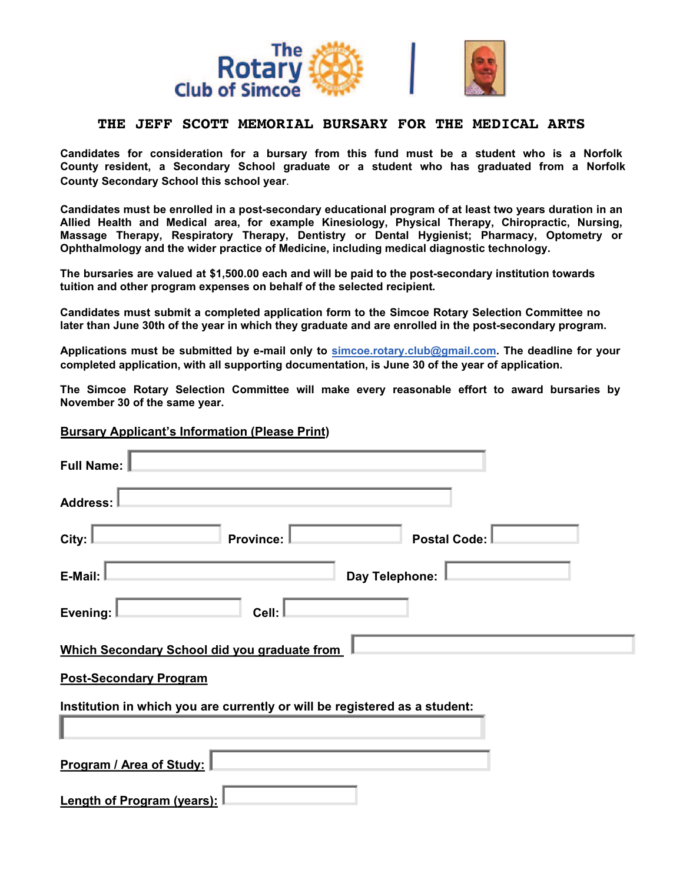

## **THE JEFF SCOTT MEMORIAL BURSARY FOR THE MEDICAL ARTS**

**Candidates for consideration for a bursary from this fund must be a student who is a Norfolk County resident, a Secondary School graduate or a student who has graduated from a Norfolk County Secondary School this school year**.

**Candidates must be enrolled in a post-secondary educational program of at least two years duration in an Allied Health and Medical area, for example Kinesiology, Physical Therapy, Chiropractic, Nursing, Massage Therapy, Respiratory Therapy, Dentistry or Dental Hygienist; Pharmacy, Optometry or Ophthalmology and the wider practice of Medicine, including medical diagnostic technology.**

**The bursaries are valued at \$1,500.00 each and will be paid to the post-secondary institution towards tuition and other program expenses on behalf of the selected recipient.**

**Candidates must submit a completed application form to the Simcoe Rotary Selection Committee no later than June 30th of the year in which they graduate and are enrolled in the post-secondary program.**

**Applications must be submitted by e-mail only to simcoe.rotary.club@gmail.com. The deadline for your completed application, with all supporting documentation, is June 30 of the year of application.**

**The Simcoe Rotary Selection Committee will make every reasonable effort to award bursaries by November 30 of the same year.**

#### **Bursary Applicant's Information (Please Print)**

| <b>Full Name:</b>                                                          |  |  |
|----------------------------------------------------------------------------|--|--|
| <b>Address:</b>                                                            |  |  |
| City:<br><b>Province:</b><br><b>Postal Code:</b>                           |  |  |
| E-Mail:<br>Day Telephone:                                                  |  |  |
| Cell:<br>Evening:                                                          |  |  |
| Which Secondary School did you graduate from                               |  |  |
| <b>Post-Secondary Program</b>                                              |  |  |
| Institution in which you are currently or will be registered as a student: |  |  |
|                                                                            |  |  |
| Program / Area of Study:                                                   |  |  |
| <b>Length of Program (years):</b>                                          |  |  |